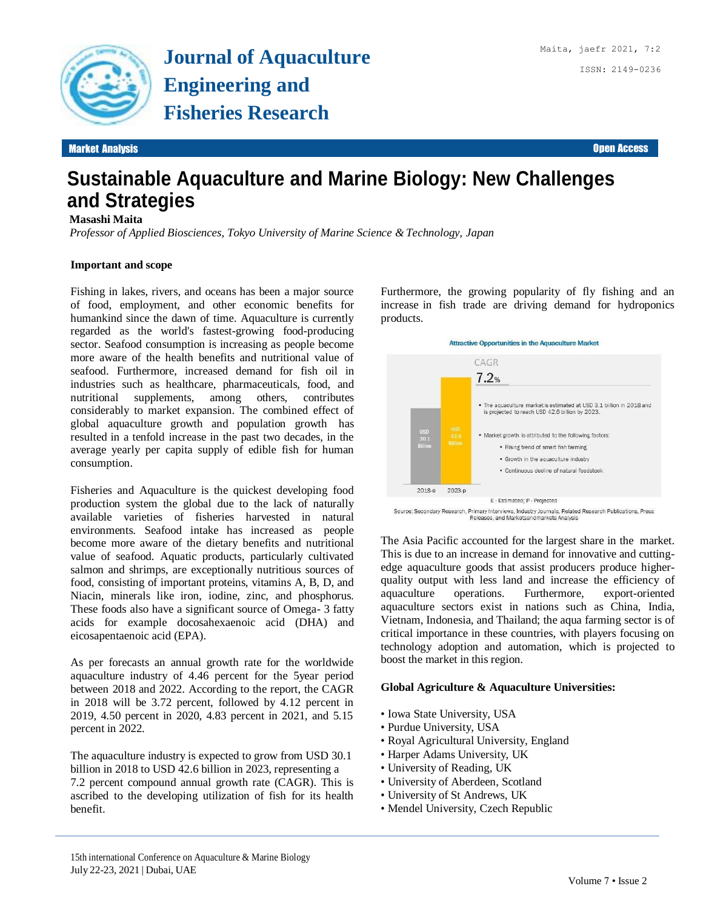

# **Sustainable Aquaculture and Marine Biology: New Challenges and Strategies**

### **Masashi Maita**

*Professor of Applied Biosciences, Tokyo University of Marine Science & Technology, Japan*

#### **Important and scope**

Fishing in lakes, rivers, and oceans has been a major source of food, employment, and other economic benefits for humankind since the dawn of time. Aquaculture is currently regarded as the world's fastest-growing food-producing sector. Seafood consumption is increasing as people become more aware of the health benefits and nutritional value of seafood. Furthermore, increased demand for fish oil in industries such as healthcare, pharmaceuticals, food, and nutritional supplements, among others, contributes considerably to market expansion. The combined effect of global aquaculture growth and population growth has resulted in a tenfold increase in the past two decades, in the average yearly per capita supply of edible fish for human consumption.

Fisheries and Aquaculture is the quickest developing food production system the global due to the lack of naturally available varieties of fisheries harvested in natural environments. Seafood intake has increased as people become more aware of the dietary benefits and nutritional value of seafood. Aquatic products, particularly cultivated salmon and shrimps, are exceptionally nutritious sources of food, consisting of important proteins, vitamins A, B, D, and Niacin, minerals like iron, iodine, zinc, and phosphorus. These foods also have a significant source of Omega- 3 fatty acids for example docosahexaenoic acid (DHA) and eicosapentaenoic acid (EPA).

As per forecasts an annual growth rate for the worldwide aquaculture industry of 4.46 percent for the 5year period between 2018 and 2022. According to the report, the CAGR in 2018 will be 3.72 percent, followed by 4.12 percent in 2019, 4.50 percent in 2020, 4.83 percent in 2021, and 5.15 percent in 2022.

The aquaculture industry is expected to grow from USD 30.1 billion in 2018 to USD 42.6 billion in 2023, representing a 7.2 percent compound annual growth rate (CAGR). This is ascribed to the developing utilization of fish for its health benefit.

Furthermore, the growing popularity of fly fishing and an increase in fish trade are driving demand for hydroponics products.



Releases, and Marketsandmarkets Analysis

The Asia Pacific accounted for the largest share in the market. This is due to an increase in demand for innovative and cuttingedge aquaculture goods that assist producers produce higherquality output with less land and increase the efficiency of aquaculture operations. Furthermore, export-oriented aquaculture sectors exist in nations such as China, India, Vietnam, Indonesia, and Thailand; the aqua farming sector is of critical importance in these countries, with players focusing on technology adoption and automation, which is projected to boost the market in this region.

#### **Global Agriculture & Aquaculture Universities:**

- Iowa State University, USA
- Purdue University, USA
- Royal Agricultural University, England
- Harper Adams University, UK
- University of Reading, UK
- University of Aberdeen, Scotland
- University of St Andrews, UK
- Mendel University, Czech Republic